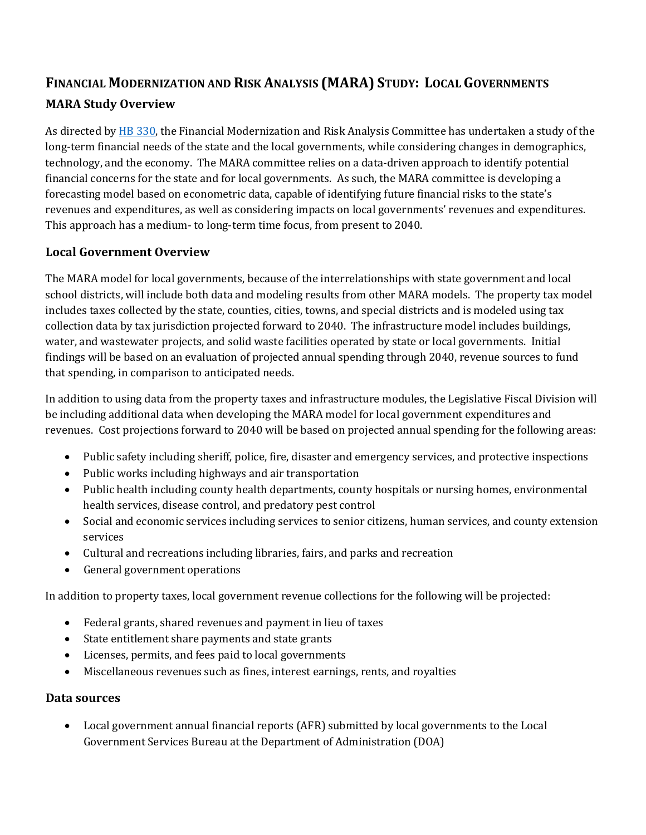## **FINANCIAL MODERNIZATION AND RISK ANALYSIS (MARA) STUDY: LOCAL GOVERNMENTS MARA Study Overview**

As directed b[y HB 330,](http://laws.leg.mt.gov/legprd/LAW0203W$BSRV.ActionQuery?P_SESS=20211&P_BLTP_BILL_TYP_CD=HB&P_BILL_NO=330&P_BILL_DFT_NO=&P_CHPT_NO=&Z_ACTION=Find&P_ENTY_ID_SEQ2=&P_SBJT_SBJ_CD=&P_ENTY_ID_SEQ=) the Financial Modernization and Risk Analysis Committee has undertaken a study of the long-term financial needs of the state and the local governments, while considering changes in demographics, technology, and the economy. The MARA committee relies on a data-driven approach to identify potential financial concerns for the state and for local governments. As such, the MARA committee is developing a forecasting model based on econometric data, capable of identifying future financial risks to the state's revenues and expenditures, as well as considering impacts on local governments' revenues and expenditures. This approach has a medium- to long-term time focus, from present to 2040.

## **Local Government Overview**

The MARA model for local governments, because of the interrelationships with state government and local school districts, will include both data and modeling results from other MARA models. The property tax model includes taxes collected by the state, counties, cities, towns, and special districts and is modeled using tax collection data by tax jurisdiction projected forward to 2040. The infrastructure model includes buildings, water, and wastewater projects, and solid waste facilities operated by state or local governments. Initial findings will be based on an evaluation of projected annual spending through 2040, revenue sources to fund that spending, in comparison to anticipated needs.

In addition to using data from the property taxes and infrastructure modules, the Legislative Fiscal Division will be including additional data when developing the MARA model for local government expenditures and revenues. Cost projections forward to 2040 will be based on projected annual spending for the following areas:

- Public safety including sheriff, police, fire, disaster and emergency services, and protective inspections
- Public works including highways and air transportation
- Public health including county health departments, county hospitals or nursing homes, environmental health services, disease control, and predatory pest control
- Social and economic services including services to senior citizens, human services, and county extension services
- Cultural and recreations including libraries, fairs, and parks and recreation
- General government operations

In addition to property taxes, local government revenue collections for the following will be projected:

- Federal grants, shared revenues and payment in lieu of taxes
- State entitlement share payments and state grants
- Licenses, permits, and fees paid to local governments
- Miscellaneous revenues such as fines, interest earnings, rents, and royalties

## **Data sources**

• Local government annual financial reports (AFR) submitted by local governments to the Local Government Services Bureau at the Department of Administration (DOA)